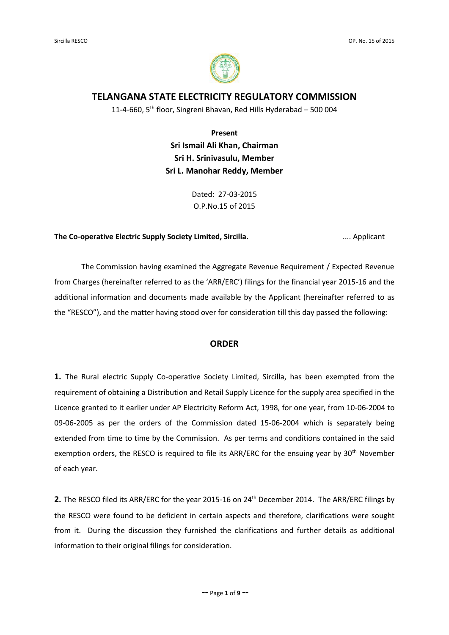

# **TELANGANA STATE ELECTRICITY REGULATORY COMMISSION**

11-4-660,  $5<sup>th</sup>$  floor, Singreni Bhavan, Red Hills Hyderabad – 500 004

**Present Sri Ismail Ali Khan, Chairman Sri H. Srinivasulu, Member Sri L. Manohar Reddy, Member**

> Dated: 27-03-2015 O.P.No.15 of 2015

#### **The Co-operative Electric Supply Society Limited, Sircilla. ..... Applicant** ..... Applicant

The Commission having examined the Aggregate Revenue Requirement / Expected Revenue from Charges (hereinafter referred to as the 'ARR/ERC') filings for the financial year 2015-16 and the additional information and documents made available by the Applicant (hereinafter referred to as the "RESCO"), and the matter having stood over for consideration till this day passed the following:

## **ORDER**

**1.** The Rural electric Supply Co-operative Society Limited, Sircilla, has been exempted from the requirement of obtaining a Distribution and Retail Supply Licence for the supply area specified in the Licence granted to it earlier under AP Electricity Reform Act, 1998, for one year, from 10-06-2004 to 09-06-2005 as per the orders of the Commission dated 15-06-2004 which is separately being extended from time to time by the Commission. As per terms and conditions contained in the said exemption orders, the RESCO is required to file its ARR/ERC for the ensuing year by 30<sup>th</sup> November of each year.

2. The RESCO filed its ARR/ERC for the year 2015-16 on 24<sup>th</sup> December 2014. The ARR/ERC filings by the RESCO were found to be deficient in certain aspects and therefore, clarifications were sought from it. During the discussion they furnished the clarifications and further details as additional information to their original filings for consideration.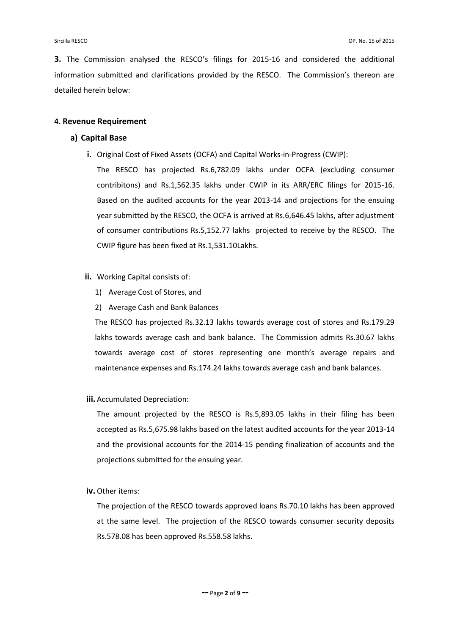**3.** The Commission analysed the RESCO's filings for 2015-16 and considered the additional information submitted and clarifications provided by the RESCO. The Commission's thereon are detailed herein below:

### **4. Revenue Requirement**

## **a) Capital Base**

**i.** Original Cost of Fixed Assets (OCFA) and Capital Works-in-Progress (CWIP):

The RESCO has projected Rs.6,782.09 lakhs under OCFA (excluding consumer contribitons) and Rs.1,562.35 lakhs under CWIP in its ARR/ERC filings for 2015-16. Based on the audited accounts for the year 2013-14 and projections for the ensuing year submitted by the RESCO, the OCFA is arrived at Rs.6,646.45 lakhs, after adjustment of consumer contributions Rs.5,152.77 lakhs projected to receive by the RESCO. The CWIP figure has been fixed at Rs.1,531.10Lakhs.

#### **ii.** Working Capital consists of:

- 1) Average Cost of Stores, and
- 2) Average Cash and Bank Balances

The RESCO has projected Rs.32.13 lakhs towards average cost of stores and Rs.179.29 lakhs towards average cash and bank balance. The Commission admits Rs.30.67 lakhs towards average cost of stores representing one month's average repairs and maintenance expenses and Rs.174.24 lakhs towards average cash and bank balances.

#### **iii.** Accumulated Depreciation:

The amount projected by the RESCO is Rs.5,893.05 lakhs in their filing has been accepted as Rs.5,675.98 lakhs based on the latest audited accounts for the year 2013-14 and the provisional accounts for the 2014-15 pending finalization of accounts and the projections submitted for the ensuing year.

#### **iv.** Other items:

The projection of the RESCO towards approved loans Rs.70.10 lakhs has been approved at the same level. The projection of the RESCO towards consumer security deposits Rs.578.08 has been approved Rs.558.58 lakhs.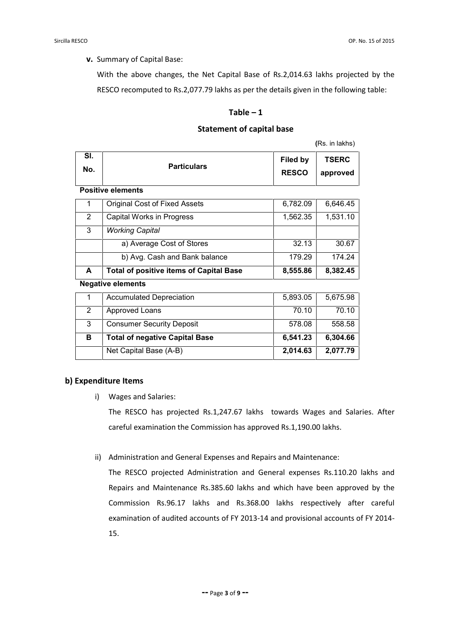**v.** Summary of Capital Base:

With the above changes, the Net Capital Base of Rs.2,014.63 lakhs projected by the RESCO recomputed to Rs.2,077.79 lakhs as per the details given in the following table:

### $Table - 1$

#### **Statement of capital base**

**(**Rs. in lakhs)

| SI.            |                                                | Filed by     | <b>TSERC</b> |  |  |
|----------------|------------------------------------------------|--------------|--------------|--|--|
| No.            | <b>Particulars</b>                             | <b>RESCO</b> | approved     |  |  |
|                | <b>Positive elements</b>                       |              |              |  |  |
| 1              | Original Cost of Fixed Assets                  | 6,782.09     | 6,646.45     |  |  |
| $\overline{2}$ | Capital Works in Progress                      | 1,562.35     | 1,531.10     |  |  |
| 3              | <b>Working Capital</b>                         |              |              |  |  |
|                | a) Average Cost of Stores                      | 32.13        | 30.67        |  |  |
|                | b) Avg. Cash and Bank balance                  | 179.29       | 174.24       |  |  |
| A              | <b>Total of positive items of Capital Base</b> | 8,555.86     | 8,382.45     |  |  |
|                | <b>Negative elements</b>                       |              |              |  |  |
| 1              | <b>Accumulated Depreciation</b>                | 5,893.05     | 5,675.98     |  |  |
| $\overline{2}$ | Approved Loans                                 | 70.10        | 70.10        |  |  |
| 3              | <b>Consumer Security Deposit</b>               | 578.08       | 558.58       |  |  |
| в              | <b>Total of negative Capital Base</b>          | 6,541.23     | 6,304.66     |  |  |
|                | Net Capital Base (A-B)                         | 2,014.63     | 2,077.79     |  |  |

### **b) Expenditure Items**

i) Wages and Salaries:

The RESCO has projected Rs.1,247.67 lakhs towards Wages and Salaries. After careful examination the Commission has approved Rs.1,190.00 lakhs.

ii) Administration and General Expenses and Repairs and Maintenance:

The RESCO projected Administration and General expenses Rs.110.20 lakhs and Repairs and Maintenance Rs.385.60 lakhs and which have been approved by the Commission Rs.96.17 lakhs and Rs.368.00 lakhs respectively after careful examination of audited accounts of FY 2013-14 and provisional accounts of FY 2014- 15.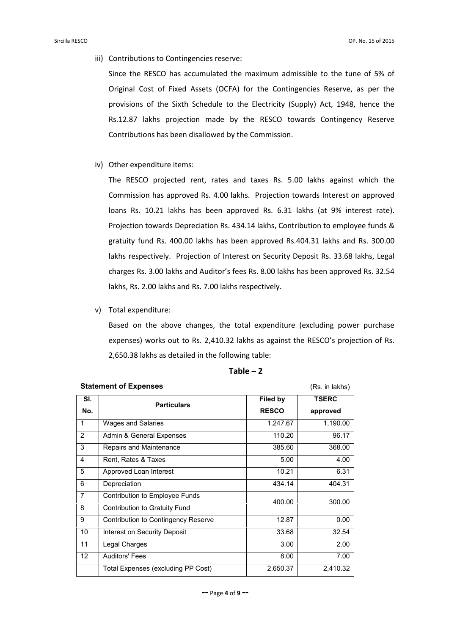iii) Contributions to Contingencies reserve:

Since the RESCO has accumulated the maximum admissible to the tune of 5% of Original Cost of Fixed Assets (OCFA) for the Contingencies Reserve, as per the provisions of the Sixth Schedule to the Electricity (Supply) Act, 1948, hence the Rs.12.87 lakhs projection made by the RESCO towards Contingency Reserve Contributions has been disallowed by the Commission.

iv) Other expenditure items:

The RESCO projected rent, rates and taxes Rs. 5.00 lakhs against which the Commission has approved Rs. 4.00 lakhs. Projection towards Interest on approved loans Rs. 10.21 lakhs has been approved Rs. 6.31 lakhs (at 9% interest rate). Projection towards Depreciation Rs. 434.14 lakhs, Contribution to employee funds & gratuity fund Rs. 400.00 lakhs has been approved Rs.404.31 lakhs and Rs. 300.00 lakhs respectively. Projection of Interest on Security Deposit Rs. 33.68 lakhs, Legal charges Rs. 3.00 lakhs and Auditor's fees Rs. 8.00 lakhs has been approved Rs. 32.54 lakhs, Rs. 2.00 lakhs and Rs. 7.00 lakhs respectively.

v) Total expenditure:

Based on the above changes, the total expenditure (excluding power purchase expenses) works out to Rs. 2,410.32 lakhs as against the RESCO's projection of Rs. 2,650.38 lakhs as detailed in the following table:

### $Table - 2$

| SI.               | <b>Particulars</b>                  | Filed by     | <b>TSERC</b> |  |  |  |
|-------------------|-------------------------------------|--------------|--------------|--|--|--|
| No.               |                                     | <b>RESCO</b> | approved     |  |  |  |
| 1                 | <b>Wages and Salaries</b>           | 1,247.67     | 1,190.00     |  |  |  |
| 2                 | Admin & General Expenses            | 110.20       | 96.17        |  |  |  |
| 3                 | Repairs and Maintenance             | 385.60       | 368.00       |  |  |  |
| 4                 | Rent, Rates & Taxes                 | 5.00         | 4.00         |  |  |  |
| 5                 | Approved Loan Interest              | 10.21        | 6.31         |  |  |  |
| 6                 | Depreciation                        | 434.14       | 404.31       |  |  |  |
| $\overline{7}$    | Contribution to Employee Funds      | 400.00       |              |  |  |  |
| 8                 | Contribution to Gratuity Fund       |              | 300.00       |  |  |  |
| 9                 | Contribution to Contingency Reserve | 12.87        | 0.00         |  |  |  |
| 10                | Interest on Security Deposit        | 33.68        | 32.54        |  |  |  |
| 11                | Legal Charges                       | 3.00         | 2.00         |  |  |  |
| $12 \overline{ }$ | Auditors' Fees                      | 8.00         | 7.00         |  |  |  |
|                   | Total Expenses (excluding PP Cost)  | 2,650.37     | 2,410.32     |  |  |  |

## **Statement of Expenses** (Rs. in lakhs)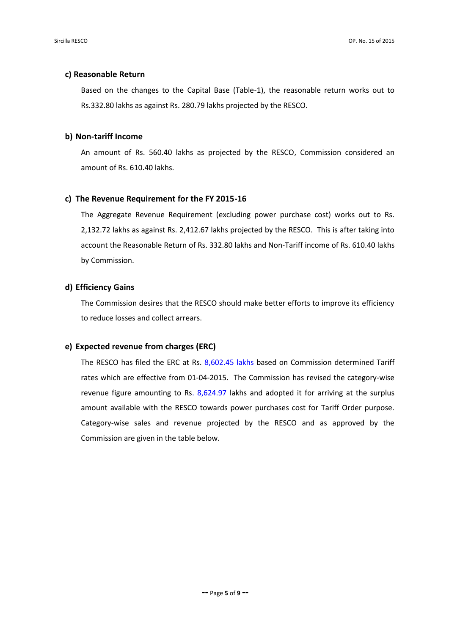## **c) Reasonable Return**

Based on the changes to the Capital Base (Table-1), the reasonable return works out to Rs.332.80 lakhs as against Rs. 280.79 lakhs projected by the RESCO.

#### **b) Non-tariff Income**

An amount of Rs. 560.40 lakhs as projected by the RESCO, Commission considered an amount of Rs. 610.40 lakhs.

#### **c) The Revenue Requirement for the FY 2015-16**

The Aggregate Revenue Requirement (excluding power purchase cost) works out to Rs. 2,132.72 lakhs as against Rs. 2,412.67 lakhs projected by the RESCO. This is after taking into account the Reasonable Return of Rs. 332.80 lakhs and Non-Tariff income of Rs. 610.40 lakhs by Commission.

## **d) Efficiency Gains**

The Commission desires that the RESCO should make better efforts to improve its efficiency to reduce losses and collect arrears.

#### **e) Expected revenue from charges (ERC)**

The RESCO has filed the ERC at Rs. 8,602.45 lakhs based on Commission determined Tariff rates which are effective from 01-04-2015. The Commission has revised the category-wise revenue figure amounting to Rs.  $8,624.97$  lakhs and adopted it for arriving at the surplus amount available with the RESCO towards power purchases cost for Tariff Order purpose. Category-wise sales and revenue projected by the RESCO and as approved by the Commission are given in the table below.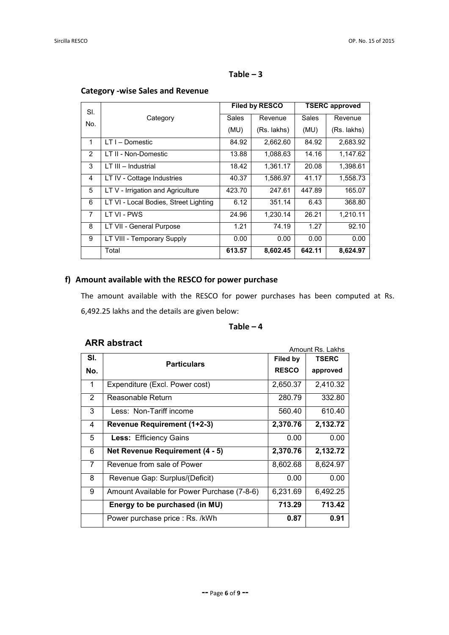## $Table - 3$

| SI.            |                                       | <b>Filed by RESCO</b> |             | <b>TSERC approved</b> |             |
|----------------|---------------------------------------|-----------------------|-------------|-----------------------|-------------|
| No.            | Category                              | Sales                 | Revenue     | Sales                 | Revenue     |
|                |                                       | (MU)                  | (Rs. lakhs) | (MU)                  | (Rs. lakhs) |
| 1              | $LT I - D$ omestic                    | 84.92                 | 2,662.60    | 84.92                 | 2,683.92    |
| 2              | LT II - Non-Domestic                  | 13.88                 | 1,088.63    | 14.16                 | 1,147.62    |
| 3              | LT III - Industrial                   | 18.42                 | 1,361.17    | 20.08                 | 1,398.61    |
| 4              | LT IV - Cottage Industries            | 40.37                 | 1,586.97    | 41.17                 | 1,558.73    |
| 5              | LT V - Irrigation and Agriculture     | 423.70                | 247.61      | 447.89                | 165.07      |
| 6              | LT VI - Local Bodies, Street Lighting | 6.12                  | 351.14      | 6.43                  | 368.80      |
| $\overline{7}$ | LT VI - PWS                           | 24.96                 | 1,230.14    | 26.21                 | 1,210.11    |
| 8              | LT VII - General Purpose              | 1.21                  | 74.19       | 1.27                  | 92.10       |
| 9              | LT VIII - Temporary Supply            | 0.00                  | 0.00        | 0.00                  | 0.00        |
|                | Total                                 | 613.57                | 8,602.45    | 642.11                | 8,624.97    |

# **Category -wise Sales and Revenue**

# **f) Amount available with the RESCO for power purchase**

The amount available with the RESCO for power purchases has been computed at Rs. 6,492.25 lakhs and the details are given below:

# $Table - 4$

# **ARR abstract**

| ANN GWYNGLI                                 | Amount Rs. Lakhs   |              |  |
|---------------------------------------------|--------------------|--------------|--|
|                                             | Filed by           | <b>TSERC</b> |  |
|                                             | <b>RESCO</b>       | approved     |  |
| Expenditure (Excl. Power cost)              | 2,650.37           | 2,410.32     |  |
| Reasonable Return                           | 280.79             | 332.80       |  |
| Less: Non-Tariff income                     | 560.40             | 610.40       |  |
| Revenue Requirement (1+2-3)                 | 2,370.76           | 2,132.72     |  |
| <b>Less: Efficiency Gains</b>               | 0.00               | 0.00         |  |
| Net Revenue Requirement (4 - 5)             | 2,370.76           | 2,132.72     |  |
| Revenue from sale of Power                  | 8,602.68           | 8,624.97     |  |
| Revenue Gap: Surplus/(Deficit)              | 0.00               | 0.00         |  |
| Amount Available for Power Purchase (7-8-6) | 6,231.69           | 6,492.25     |  |
| Energy to be purchased (in MU)              | 713.29             | 713.42       |  |
| Power purchase price : Rs. /kWh             | 0.87               | 0.91         |  |
|                                             | <b>Particulars</b> |              |  |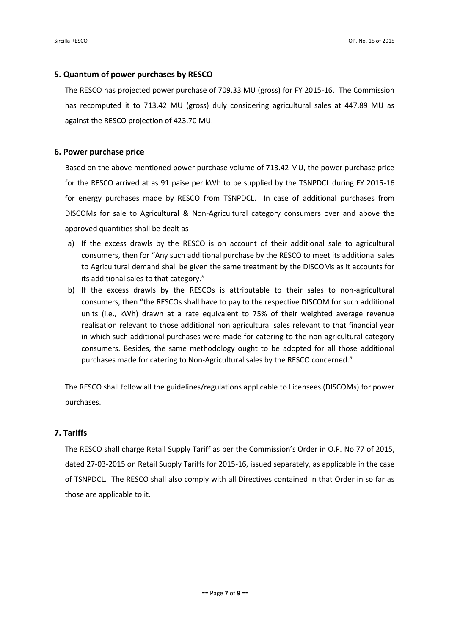### **5. Quantum of power purchases by RESCO**

The RESCO has projected power purchase of 709.33 MU (gross) for FY 2015-16. The Commission has recomputed it to 713.42 MU (gross) duly considering agricultural sales at 447.89 MU as against the RESCO projection of 423.70 MU.

### **6. Power purchase price**

Based on the above mentioned power purchase volume of 713.42 MU, the power purchase price for the RESCO arrived at as 91 paise per kWh to be supplied by the TSNPDCL during FY 2015-16 for energy purchases made by RESCO from TSNPDCL. In case of additional purchases from DISCOMs for sale to Agricultural & Non-Agricultural category consumers over and above the approved quantities shall be dealt as

- a) If the excess drawls by the RESCO is on account of their additional sale to agricultural consumers, then for "Any such additional purchase by the RESCO to meet its additional sales to Agricultural demand shall be given the same treatment by the DISCOMs as it accounts for its additional sales to that category."
- b) If the excess drawls by the RESCOs is attributable to their sales to non-agricultural consumers, then "the RESCOs shall have to pay to the respective DISCOM for such additional units (i.e., kWh) drawn at a rate equivalent to 75% of their weighted average revenue realisation relevant to those additional non agricultural sales relevant to that financial year in which such additional purchases were made for catering to the non agricultural category consumers. Besides, the same methodology ought to be adopted for all those additional purchases made for catering to Non-Agricultural sales by the RESCO concerned."

The RESCO shall follow all the guidelines/regulations applicable to Licensees (DISCOMs) for power purchases.

#### **7. Tariffs**

The RESCO shall charge Retail Supply Tariff as per the Commission's Order in O.P. No.77 of 2015, dated 27-03-2015 on Retail Supply Tariffs for 2015-16, issued separately, as applicable in the case of TSNPDCL. The RESCO shall also comply with all Directives contained in that Order in so far as those are applicable to it.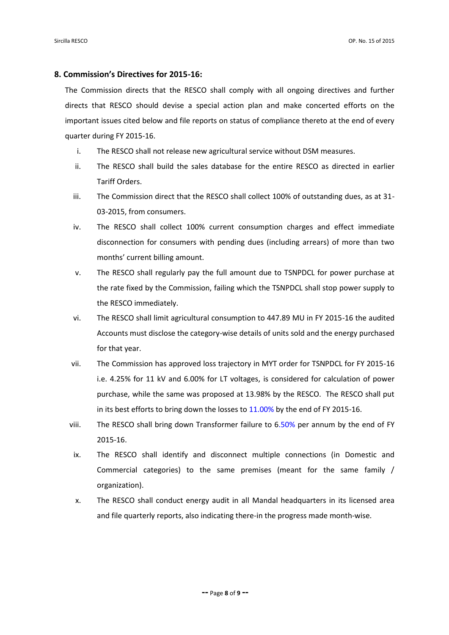#### **8. Commission's Directives for 2015-16:**

The Commission directs that the RESCO shall comply with all ongoing directives and further directs that RESCO should devise a special action plan and make concerted efforts on the important issues cited below and file reports on status of compliance thereto at the end of every quarter during FY 2015-16.

- i. The RESCO shall not release new agricultural service without DSM measures.
- ii. The RESCO shall build the sales database for the entire RESCO as directed in earlier Tariff Orders.
- iii. The Commission direct that the RESCO shall collect 100% of outstanding dues, as at 31- 03-2015, from consumers.
- iv. The RESCO shall collect 100% current consumption charges and effect immediate disconnection for consumers with pending dues (including arrears) of more than two months' current billing amount.
- v. The RESCO shall regularly pay the full amount due to TSNPDCL for power purchase at the rate fixed by the Commission, failing which the TSNPDCL shall stop power supply to the RESCO immediately.
- vi. The RESCO shall limit agricultural consumption to 447.89 MU in FY 2015-16 the audited Accounts must disclose the category-wise details of units sold and the energy purchased for that year.
- vii. The Commission has approved loss trajectory in MYT order for TSNPDCL for FY 2015-16 i.e. 4.25% for 11 kV and 6.00% for LT voltages, is considered for calculation of power purchase, while the same was proposed at 13.98% by the RESCO. The RESCO shall put in its best efforts to bring down the losses to 11.00% by the end of FY 2015-16.
- viii. The RESCO shall bring down Transformer failure to 6.50% per annum by the end of FY 2015-16.
- ix. The RESCO shall identify and disconnect multiple connections (in Domestic and Commercial categories) to the same premises (meant for the same family / organization).
- x. The RESCO shall conduct energy audit in all Mandal headquarters in its licensed area and file quarterly reports, also indicating there-in the progress made month-wise.